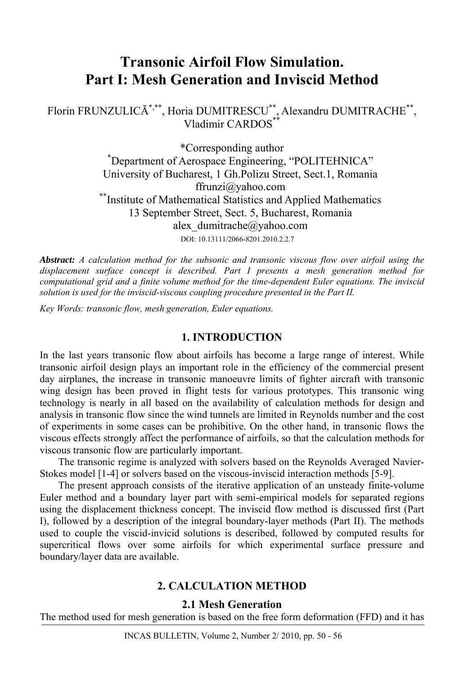# **Transonic Airfoil Flow Simulation. Part I: Mesh Generation and Inviscid Method**

Florin FRUNZULICĂ\*,\*\*, Horia DUMITRESCU\*\*, Alexandru DUMITRACHE\*\*, Vladimir CARDOS<sup>\*\*</sup>

> \*Corresponding author \* Department of Aerospace Engineering, "POLITEHNICA" University of Bucharest, 1 Gh.Polizu Street, Sect.1, Romania ffrunzi@yahoo.com<br>
> \*\*Institute of Mathematical Statistics and Applied Mathematics 13 September Street, Sect. 5, Bucharest, Romania alex\_dumitrache@yahoo.com DOI: 10.13111/2066-8201.2010.2.2.7

*Abstract: A calculation method for the subsonic and transonic viscous flow over airfoil using the displacement surface concept is described. Part I presents a mesh generation method for computational grid and a finite volume method for the time-dependent Euler equations. The inviscid solution is used for the inviscid-viscous coupling procedure presented in the Part II.* 

*Key Words: transonic flow, mesh generation, Euler equations.* 

## **1. INTRODUCTION**

In the last years transonic flow about airfoils has become a large range of interest. While transonic airfoil design plays an important role in the efficiency of the commercial present day airplanes, the increase in transonic manoeuvre limits of fighter aircraft with transonic wing design has been proved in flight tests for various prototypes. This transonic wing technology is nearly in all based on the availability of calculation methods for design and analysis in transonic flow since the wind tunnels are limited in Reynolds number and the cost of experiments in some cases can be prohibitive. On the other hand, in transonic flows the viscous effects strongly affect the performance of airfoils, so that the calculation methods for viscous transonic flow are particularly important.

The transonic regime is analyzed with solvers based on the Reynolds Averaged Navier-Stokes model [1-4] or solvers based on the viscous-inviscid interaction methods [5-9].

The present approach consists of the iterative application of an unsteady finite-volume Euler method and a boundary layer part with semi-empirical models for separated regions using the displacement thickness concept. The inviscid flow method is discussed first (Part I), followed by a description of the integral boundary-layer methods (Part II). The methods used to couple the viscid-invicid solutions is described, followed by computed results for supercritical flows over some airfoils for which experimental surface pressure and boundary/layer data are available.

## **2. CALCULATION METHOD**

### **2.1 Mesh Generation**

The method used for mesh generation is based on the free form deformation (FFD) and it has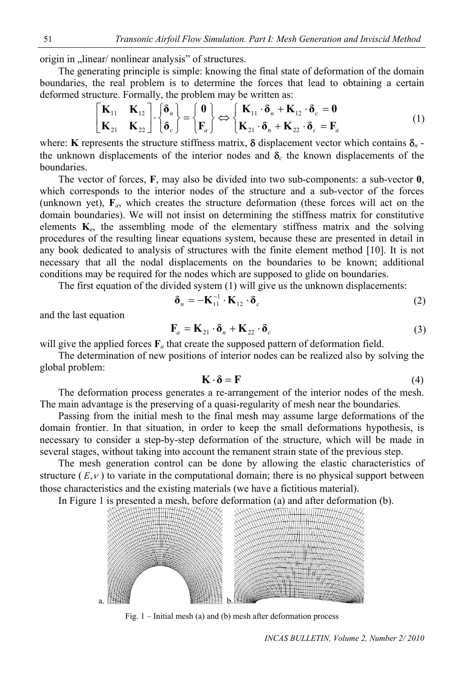origin in "linear/ nonlinear analysis" of structures.

The generating principle is simple: knowing the final state of deformation of the domain boundaries, the real problem is to determine the forces that lead to obtaining a certain deformed structure. Formally, the problem may be written as:

$$
\begin{bmatrix} \mathbf{K}_{11} & \mathbf{K}_{12} \\ \mathbf{K}_{21} & \mathbf{K}_{22} \end{bmatrix} \cdot \begin{Bmatrix} \delta_n \\ \delta_c \end{Bmatrix} = \begin{Bmatrix} \mathbf{0} \\ \mathbf{F}_a \end{Bmatrix} \Leftrightarrow \begin{Bmatrix} \mathbf{K}_{11} \cdot \delta_n + \mathbf{K}_{12} \cdot \delta_c = \mathbf{0} \\ \mathbf{K}_{21} \cdot \delta_n + \mathbf{K}_{22} \cdot \delta_c = \mathbf{F}_a \end{Bmatrix}
$$
(1)

where: **K** represents the structure stiffness matrix,  $\delta$  displacement vector which contains  $\delta_n$ . the unknown displacements of the interior nodes and  $\delta_c$  the known displacements of the boundaries.

The vector of forces, **F**, may also be divided into two sub-components: a sub-vector **0**, which corresponds to the interior nodes of the structure and a sub-vector of the forces (unknown yet), **F***a*, which creates the structure deformation (these forces will act on the domain boundaries). We will not insist on determining the stiffness matrix for constitutive elements  $K_e$ , the assembling mode of the elementary stiffness matrix and the solving procedures of the resulting linear equations system, because these are presented in detail in any book dedicated to analysis of structures with the finite element method [10]. It is not necessary that all the nodal displacements on the boundaries to be known; additional conditions may be required for the nodes which are supposed to glide on boundaries.

The first equation of the divided system (1) will give us the unknown displacements:

$$
\delta_n = -\mathbf{K}_{11}^{-1} \cdot \mathbf{K}_{12} \cdot \delta_c \tag{2}
$$

and the last equation

$$
\mathbf{F}_a = \mathbf{K}_{21} \cdot \mathbf{\delta}_n + \mathbf{K}_{22} \cdot \mathbf{\delta}_c \tag{3}
$$

will give the applied forces  $\mathbf{F}_a$  that create the supposed pattern of deformation field.

The determination of new positions of interior nodes can be realized also by solving the global problem:

$$
\mathbf{K} \cdot \mathbf{\delta} = \mathbf{F} \tag{4}
$$

The deformation process generates a re-arrangement of the interior nodes of the mesh. The main advantage is the preserving of a quasi-regularity of mesh near the boundaries.

Passing from the initial mesh to the final mesh may assume large deformations of the domain frontier. In that situation, in order to keep the small deformations hypothesis, is necessary to consider a step-by-step deformation of the structure, which will be made in several stages, without taking into account the remanent strain state of the previous step.

structure  $(E, v)$  to variate in the computational domain; there is no physical support between The mesh generation control can be done by allowing the elastic characteristics of those characteristics and the existing materials (we have a fictitious material).

In Figure 1 is presented a mesh, before deformation (a) and after deformation (b).



Fig. 1 – Initial mesh (a) and (b) mesh after deformation process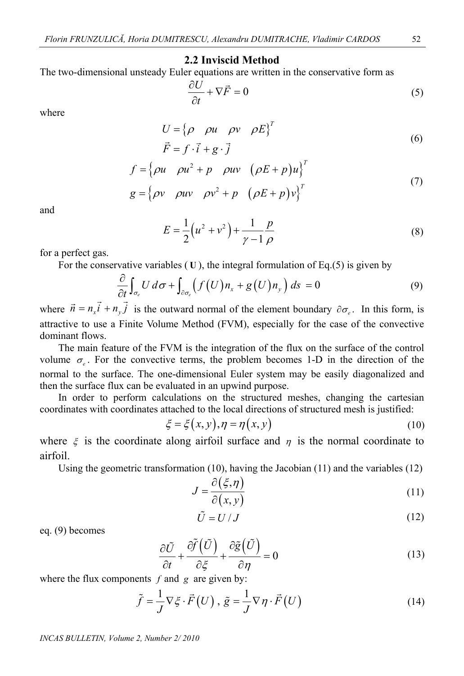#### **2.2 Inviscid Method**

The two-dimensional unsteady Euler equations are written in the conservative form as

$$
\frac{\partial U}{\partial t} + \nabla \vec{F} = 0 \tag{5}
$$

where

$$
U = \{ \rho \quad \rho u \quad \rho v \quad \rho E \}^{T}
$$
  

$$
\vec{F} = f \cdot \vec{i} + g \cdot \vec{j}
$$
 (6)

$$
f = \begin{cases} \rho u & \rho u^2 + p & \rho u v \ (\rho E + p) u \end{cases}^T
$$
  

$$
g = \begin{cases} \rho v & \rho u v \ \rho v^2 + p & (\rho E + p) v \end{cases}^T
$$
 (7)

and

$$
E = \frac{1}{2} (u^2 + v^2) + \frac{1}{\gamma - 1} \frac{p}{\rho}
$$
 (8)

for a perfect gas.

For the conservative variables  $(U)$ , the integral formulation of Eq.(5) is given by

$$
\frac{\partial}{\partial t} \int_{\sigma_e} U \, d\sigma + \int_{\partial \sigma_e} \left( f(U) n_x + g(U) n_y \right) \, ds = 0 \tag{9}
$$

where  $\vec{n} = n_x \vec{i} + n_y \vec{j}$  is the outward normal of the element boundary  $\partial \sigma_e$ . In this form, is attractive to use a Finite Volume Method (FVM), especially for the case of the convective dominant flows.

The main feature of the FVM is the integration of the flux on the surface of the control volume  $\sigma_e$ . For the convective terms, the problem becomes 1-D in the direction of the normal to the surface. The one-dimensional Euler system may be easily diagonalized and then the surface flux can be evaluated in an upwind purpose.

In order to perform calculations on the structured meshes, changing the cartesian coordinates with coordinates attached to the local directions of structured mesh is justified:

$$
\xi = \xi(x, y), \eta = \eta(x, y) \tag{10}
$$

where  $\zeta$  is the coordinate along airfoil surface and  $\eta$  is the normal coordinate to airfoil.

Using the geometric transformation (10), having the Jacobian (11) and the variables (12)

$$
J = \frac{\partial(\xi, \eta)}{\partial(x, y)}
$$
(11)

$$
\tilde{U} = U/J \tag{12}
$$

eq. (9) becomes

$$
\frac{\partial \tilde{U}}{\partial t} + \frac{\partial \tilde{f}(\tilde{U})}{\partial \xi} + \frac{\partial \tilde{g}(\tilde{U})}{\partial \eta} = 0
$$
\n(13)

where the flux components *f* and *g* are given by:

$$
\tilde{f} = \frac{1}{J} \nabla \xi \cdot \vec{F}(U) , \, \tilde{g} = \frac{1}{J} \nabla \eta \cdot \vec{F}(U) \tag{14}
$$

*INCAS BULLETIN, Volume 2, Number 2/ 2010*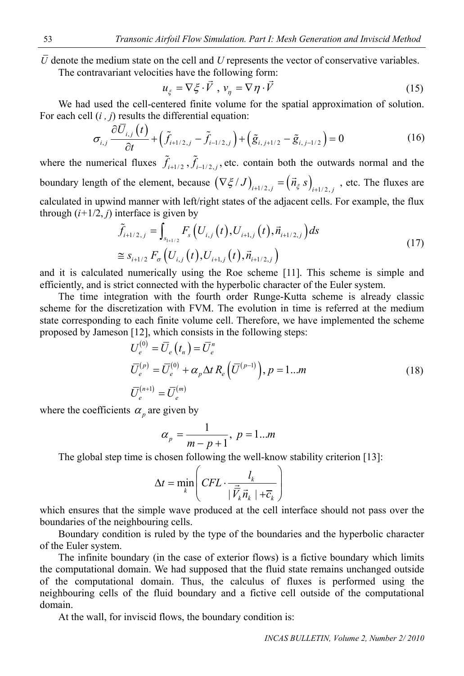$\bar{U}$  denote the medium state on the cell and  $U$  represents the vector of conservative variables.

The contravariant velocities have the following form:

$$
u_{\xi} = \nabla \xi \cdot \vec{V}, \ v_{\eta} = \nabla \eta \cdot \vec{V}
$$
 (15)

We had used the cell-centered finite volume for the spatial approximation of solution. For each cell (*i , j*) results the differential equation:

$$
\sigma_{i,j} \frac{\partial \bar{U}_{i,j}(t)}{\partial t} + \left(\tilde{f}_{i+1/2,j} - \tilde{f}_{i-1/2,j}\right) + \left(\tilde{g}_{i,j+1/2} - \tilde{g}_{i,j-1/2}\right) = 0
$$
\n(16)

where the numerical fluxes  $\tilde{f}_{i+1/2}$ ,  $\tilde{f}_{i-1/2,j}$ , etc. contain both the outwards normal and the boundary length of the element, because  $(\nabla \xi / J)_{i+1/2,j} = (\vec{n}_{\xi} s)_{i+1/2,j}$ , etc. The fluxes are calculated in upwind manner with left/right states of the adjacent cells. For example, the flux through  $(i+1/2, j)$  interface is given by

$$
\tilde{f}_{i+1/2,j} = \int_{s_{i+1/2}} F_s \left( U_{i,j}(t), U_{i+1,j}(t), \vec{n}_{i+1/2,j} \right) ds
$$
\n
$$
\tilde{f}_{i+1/2} = \tilde{f}_{i+1/2} F_{\sigma} \left( U_{i,j}(t), U_{i+1,j}(t), \vec{n}_{i+1/2,j} \right)
$$
\n(17)

and it is calculated numerically using the Roe scheme [11]. This scheme is simple and efficiently, and is strict connected with the hyperbolic character of the Euler system.

The time integration with the fourth order Runge-Kutta scheme is already classic scheme for the discretization with FVM. The evolution in time is referred at the medium state corresponding to each finite volume cell. Therefore, we have implemented the scheme proposed by Jameson [12], which consists in the following steps:

$$
U_e^{(0)} = \overline{U}_e(t_n) = \overline{U}_e^n
$$
  
\n
$$
\overline{U}_e^{(p)} = \overline{U}_e^{(0)} + \alpha_p \Delta t R_e (\overline{U}^{(p-1)}), p = 1...m
$$
  
\n
$$
\overline{U}_e^{(n+1)} = \overline{U}_e^{(m)}
$$
\n(18)

where the coefficients  $\alpha_p$  are given by

$$
\alpha_p = \frac{1}{m - p + 1}, \ p = 1...m
$$

The global step time is chosen following the well-know stability criterion [13]:

$$
\Delta t = \min_{k} \left( CFL \cdot \frac{l_k}{|\vec{V}_k \vec{n}_k| + \overline{c}_k} \right)
$$

which ensures that the simple wave produced at the cell interface should not pass over the boundaries of the neighbouring cells.

Boundary condition is ruled by the type of the boundaries and the hyperbolic character of the Euler system.

The infinite boundary (in the case of exterior flows) is a fictive boundary which limits the computational domain. We had supposed that the fluid state remains unchanged outside of the computational domain. Thus, the calculus of fluxes is performed using the neighbouring cells of the fluid boundary and a fictive cell outside of the computational domain.

At the wall, for inviscid flows, the boundary condition is: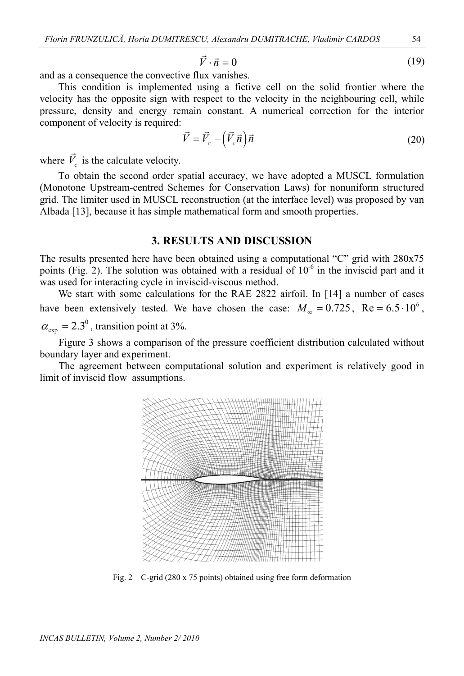$$
\vec{V} \cdot \vec{n} = 0 \tag{19}
$$

and as a consequence the convective flux vanishes.

This condition is implemented using a fictive cell on the solid frontier where the velocity has the opposite sign with respect to the velocity in the neighbouring cell, while pressure, density and energy remain constant. A numerical correction for the interior component of velocity is required:

$$
\vec{V} = \vec{V}_c - \left(\vec{V}_c \vec{n}\right) \vec{n}
$$
\n
$$
\vec{V} = \vec{V}_c - \left(\vec{V}_c \vec{n}\right) \vec{n}
$$
\n(20)

where  $\vec{V}_c$  is the calculate velocity.

To obtain the second order spatial accuracy, we have adopted a MUSCL formulation (Monotone Upstream-centred Schemes for Conservation Laws) for nonuniform structured grid. The limiter used in MUSCL reconstruction (at the interface level) was proposed by van Albada [13], because it has simple mathematical form and smooth properties.

#### **3. RESULTS AND DISCUSSION**

The results presented here have been obtained using a computational "C" grid with 280x75 points (Fig. 2). The solution was obtained with a residual of  $10^{-6}$  in the inviscid part and it was used for interacting cycle in inviscid-viscous method.

We start with some calculations for the RAE 2822 airfoil. In [14] a number of cases have been extensively tested. We have chosen the case:  $M_{\infty} = 0.725$ ,  $Re = 6.5 \cdot 10^6$ ,

 $\alpha_{\rm exp} = 2.3^{\circ}$ , transition point at 3%.

Figure 3 shows a comparison of the pressure coefficient distribution calculated without boundary layer and experiment.

The agreement between computational solution and experiment is relatively good in limit of inviscid flow assumptions.



Fig.  $2 - C$ -grid (280 x 75 points) obtained using free form deformation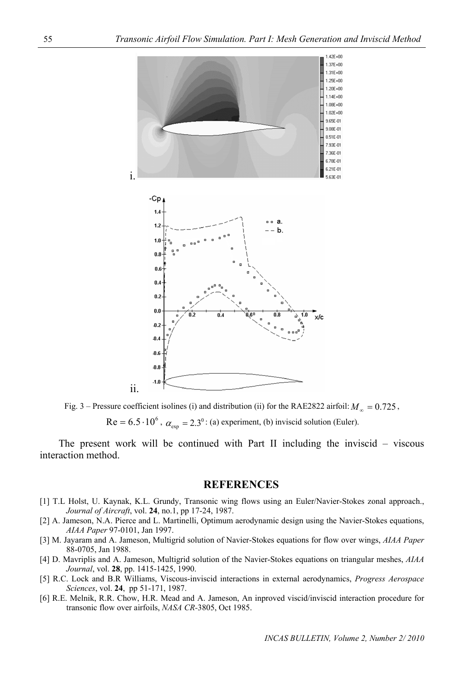

Fig. 3 – Pressure coefficient isolines (i) and distribution (ii) for the RAE2822 airfoil:  $M_{\infty} = 0.725$ ,

 $\text{Re} = 6.5 \cdot 10^6$ ,  $\alpha_{\text{exp}} = 2.3^{\circ}$ : (a) experiment, (b) inviscid solution (Euler).

The present work will be continued with Part II including the inviscid – viscous interaction method.

#### **REFERENCES**

- [1] T.L Holst, U. Kaynak, K.L. Grundy, Transonic wing flows using an Euler/Navier-Stokes zonal approach., *Journal of Aircraft*, vol. **24**, no.1, pp 17-24, 1987.
- [2] A. Jameson, N.A. Pierce and L. Martinelli, Optimum aerodynamic design using the Navier-Stokes equations, *AIAA Paper* 97-0101, Jan 1997.
- [3] M. Jayaram and A. Jameson, Multigrid solution of Navier-Stokes equations for flow over wings, *AIAA Paper* 88-0705, Jan 1988.
- [4] D. Mavriplis and A. Jameson, Multigrid solution of the Navier-Stokes equations on triangular meshes, *AIAA Journal*, vol. **28**, pp. 1415-1425, 1990.
- [5] R.C. Lock and B.R Williams, Viscous-inviscid interactions in external aerodynamics, *Progress Aerospace Sciences*, vol. **24**, pp 51-171, 1987.
- [6] R.E. Melnik, R.R. Chow, H.R. Mead and A. Jameson, An inproved viscid/inviscid interaction procedure for transonic flow over airfoils, *NASA CR-*3805, Oct 1985.